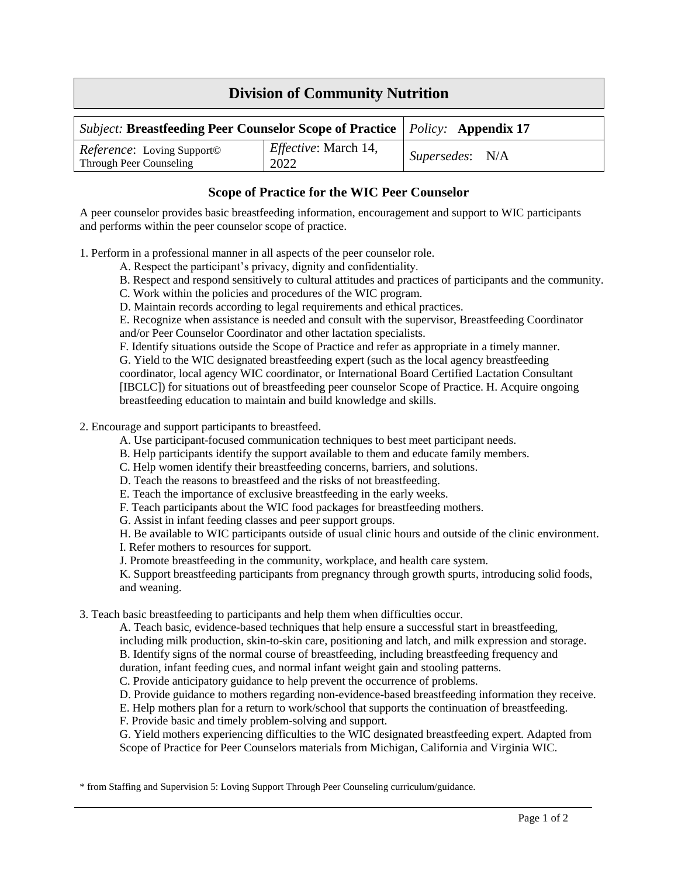## **Division of Community Nutrition**

| <i>Subject:</i> Breastfeeding Peer Counselor Scope of Practice   Policy: Appendix 17 |                                     |                 |  |
|--------------------------------------------------------------------------------------|-------------------------------------|-----------------|--|
| <i>Reference</i> : Loving Support©<br>Through Peer Counseling                        | <i>Effective:</i> March 14,<br>2022 | Supersedes: N/A |  |

## **Scope of Practice for the WIC Peer Counselor**

A peer counselor provides basic breastfeeding information, encouragement and support to WIC participants and performs within the peer counselor scope of practice.

1. Perform in a professional manner in all aspects of the peer counselor role.

- A. Respect the participant's privacy, dignity and confidentiality.
- B. Respect and respond sensitively to cultural attitudes and practices of participants and the community.
- C. Work within the policies and procedures of the WIC program.
- D. Maintain records according to legal requirements and ethical practices.

E. Recognize when assistance is needed and consult with the supervisor, Breastfeeding Coordinator and/or Peer Counselor Coordinator and other lactation specialists.

F. Identify situations outside the Scope of Practice and refer as appropriate in a timely manner. G. Yield to the WIC designated breastfeeding expert (such as the local agency breastfeeding coordinator, local agency WIC coordinator, or International Board Certified Lactation Consultant [IBCLC]) for situations out of breastfeeding peer counselor Scope of Practice. H. Acquire ongoing breastfeeding education to maintain and build knowledge and skills.

## 2. Encourage and support participants to breastfeed.

- A. Use participant-focused communication techniques to best meet participant needs.
- B. Help participants identify the support available to them and educate family members.
- C. Help women identify their breastfeeding concerns, barriers, and solutions.
- D. Teach the reasons to breastfeed and the risks of not breastfeeding.
- E. Teach the importance of exclusive breastfeeding in the early weeks.
- F. Teach participants about the WIC food packages for breastfeeding mothers.
- G. Assist in infant feeding classes and peer support groups.

H. Be available to WIC participants outside of usual clinic hours and outside of the clinic environment.

I. Refer mothers to resources for support.

J. Promote breastfeeding in the community, workplace, and health care system.

K. Support breastfeeding participants from pregnancy through growth spurts, introducing solid foods, and weaning.

3. Teach basic breastfeeding to participants and help them when difficulties occur.

A. Teach basic, evidence-based techniques that help ensure a successful start in breastfeeding, including milk production, skin-to-skin care, positioning and latch, and milk expression and storage. B. Identify signs of the normal course of breastfeeding, including breastfeeding frequency and duration, infant feeding cues, and normal infant weight gain and stooling patterns.

C. Provide anticipatory guidance to help prevent the occurrence of problems.

D. Provide guidance to mothers regarding non-evidence-based breastfeeding information they receive.

E. Help mothers plan for a return to work/school that supports the continuation of breastfeeding.

F. Provide basic and timely problem-solving and support.

G. Yield mothers experiencing difficulties to the WIC designated breastfeeding expert. Adapted from Scope of Practice for Peer Counselors materials from Michigan, California and Virginia WIC.

\* from Staffing and Supervision 5: Loving Support Through Peer Counseling curriculum/guidance.